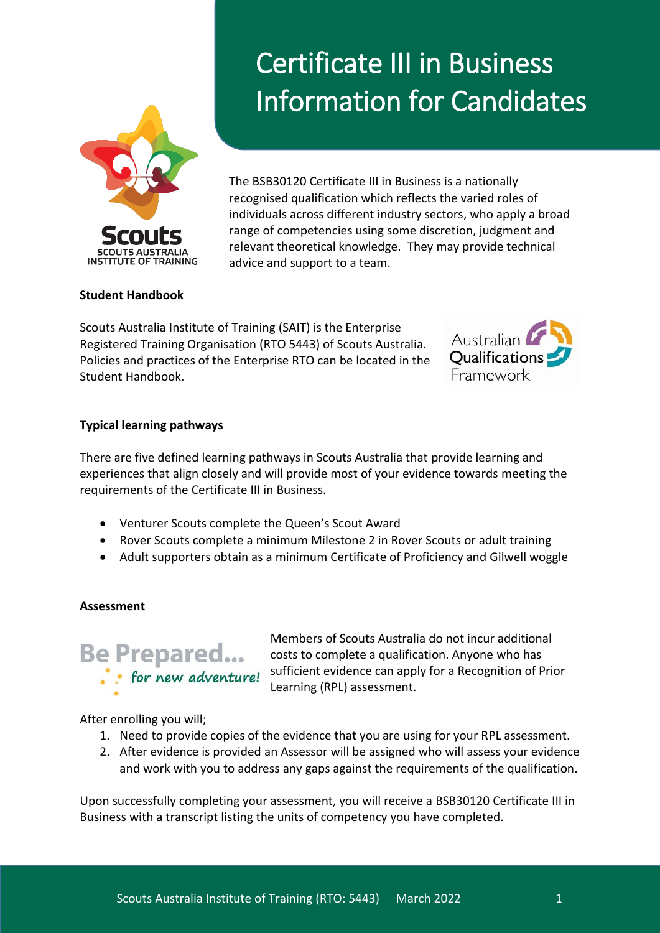

# Certificate III in Business Information for Candidates

The BSB30120 Certificate III in Business is a nationally recognised qualification which reflects the varied roles of individuals across different industry sectors, who apply a broad range of competencies using some discretion, judgment and relevant theoretical knowledge. They may provide technical advice and support to a team.

## **Student Handbook**

Scouts Australia Institute of Training (SAIT) is the Enterprise Registered Training Organisation (RTO 5443) of Scouts Australia. Policies and practices of the Enterprise RTO can be located in the Student Handbook.



## **Typical learning pathways**

There are five defined learning pathways in Scouts Australia that provide learning and experiences that align closely and will provide most of your evidence towards meeting the requirements of the Certificate III in Business.

- Venturer Scouts complete the Queen's Scout Award
- Rover Scouts complete a minimum Milestone 2 in Rover Scouts or adult training
- Adult supporters obtain as a minimum Certificate of Proficiency and Gilwell woggle

## **Assessment**



Members of Scouts Australia do not incur additional costs to complete a qualification. Anyone who has sufficient evidence can apply for a Recognition of Prior Learning (RPL) assessment.

After enrolling you will;

- 1. Need to provide copies of the evidence that you are using for your RPL assessment.
- 2. After evidence is provided an Assessor will be assigned who will assess your evidence and work with you to address any gaps against the requirements of the qualification.

Upon successfully completing your assessment, you will receive a BSB30120 Certificate III in Business with a transcript listing the units of competency you have completed.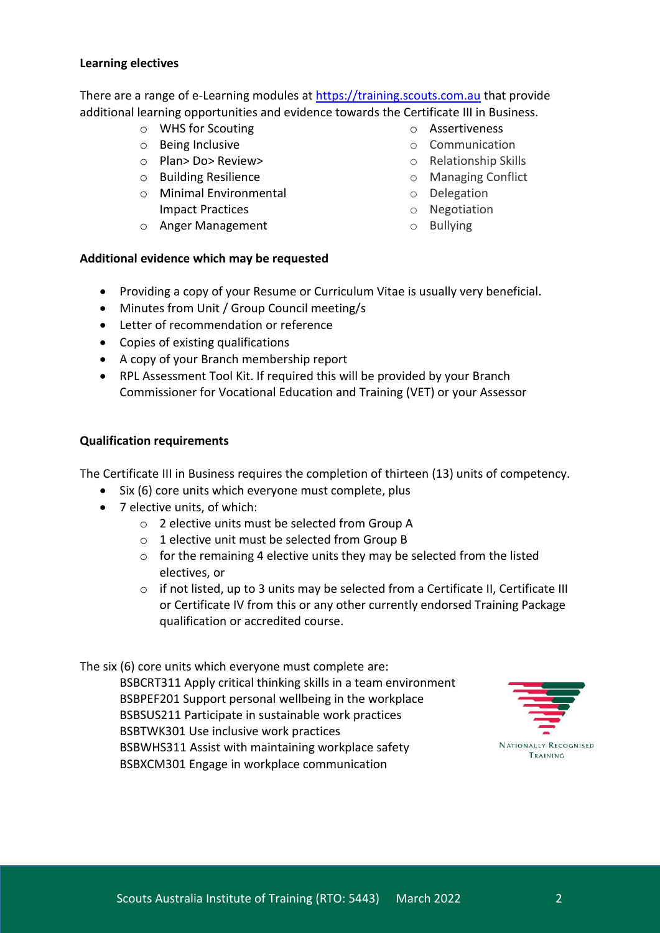#### **Learning electives**

There are a range of e-Learning modules at [https://training.scouts.com.au](https://training.scouts.com.au/) that provide additional learning opportunities and evidence towards the Certificate III in Business.

- o WHS for Scouting
- o Being Inclusive
- o Plan> Do> Review>
- o Building Resilience
- o Minimal Environmental Impact Practices
- o Anger Management
- o Assertiveness
- o Communication
- o Relationship Skills
- o Managing Conflict
- o Delegation
- o Negotiation
- o Bullying

## **Additional evidence which may be requested**

- Providing a copy of your Resume or Curriculum Vitae is usually very beneficial.
- Minutes from Unit / Group Council meeting/s
- Letter of recommendation or reference
- Copies of existing qualifications
- A copy of your Branch membership report
- RPL Assessment Tool Kit. If required this will be provided by your Branch Commissioner for Vocational Education and Training (VET) or your Assessor

## **Qualification requirements**

The Certificate III in Business requires the completion of thirteen (13) units of competency.

- Six (6) core units which everyone must complete, plus
- 7 elective units, of which:
	- o 2 elective units must be selected from Group A
	- o 1 elective unit must be selected from Group B
	- o for the remaining 4 elective units they may be selected from the listed electives, or
	- $\circ$  if not listed, up to 3 units may be selected from a Certificate II, Certificate III or Certificate IV from this or any other currently endorsed Training Package qualification or accredited course.

The six (6) core units which everyone must complete are:

BSBCRT311 Apply critical thinking skills in a team environment BSBPEF201 Support personal wellbeing in the workplace BSBSUS211 Participate in sustainable work practices BSBTWK301 Use inclusive work practices BSBWHS311 Assist with maintaining workplace safety BSBXCM301 Engage in workplace communication

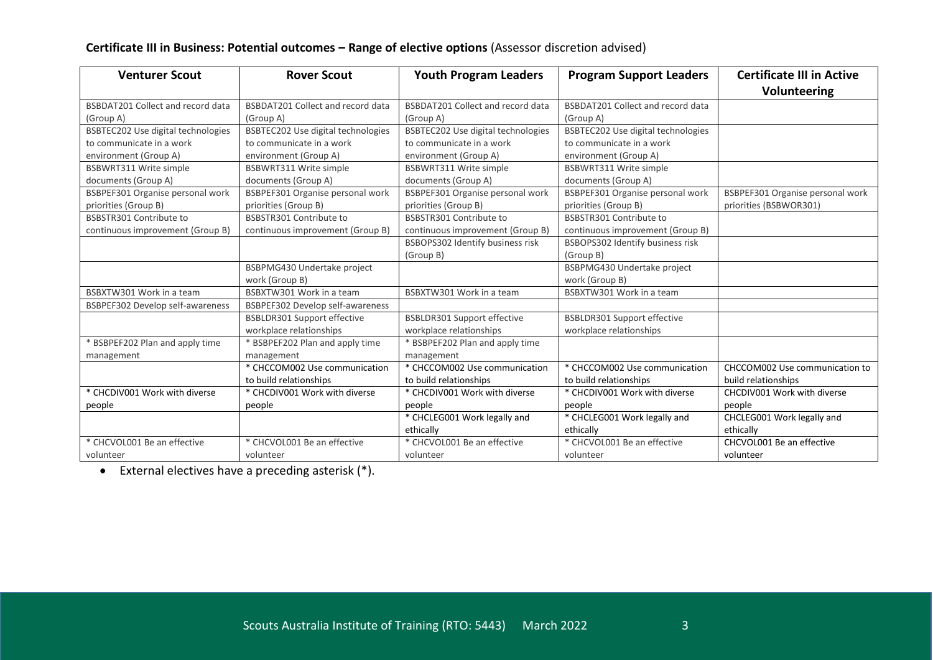# **Certificate III in Business: Potential outcomes – Range of elective options** (Assessor discretion advised)

| <b>Venturer Scout</b>                    | <b>Rover Scout</b>                 | <b>Youth Program Leaders</b>             | <b>Program Support Leaders</b>     | <b>Certificate III in Active</b> |
|------------------------------------------|------------------------------------|------------------------------------------|------------------------------------|----------------------------------|
|                                          |                                    |                                          |                                    | <b>Volunteering</b>              |
| <b>BSBDAT201 Collect and record data</b> | BSBDAT201 Collect and record data  | <b>BSBDAT201 Collect and record data</b> | BSBDAT201 Collect and record data  |                                  |
| (Group A)                                | (Group A)                          | (Group A)                                | (Group A)                          |                                  |
| BSBTEC202 Use digital technologies       | BSBTEC202 Use digital technologies | BSBTEC202 Use digital technologies       | BSBTEC202 Use digital technologies |                                  |
| to communicate in a work                 | to communicate in a work           | to communicate in a work                 | to communicate in a work           |                                  |
| environment (Group A)                    | environment (Group A)              | environment (Group A)                    | environment (Group A)              |                                  |
| BSBWRT311 Write simple                   | <b>BSBWRT311 Write simple</b>      | BSBWRT311 Write simple                   | <b>BSBWRT311 Write simple</b>      |                                  |
| documents (Group A)                      | documents (Group A)                | documents (Group A)                      | documents (Group A)                |                                  |
| BSBPEF301 Organise personal work         | BSBPEF301 Organise personal work   | BSBPEF301 Organise personal work         | BSBPEF301 Organise personal work   | BSBPEF301 Organise personal work |
| priorities (Group B)                     | priorities (Group B)               | priorities (Group B)                     | priorities (Group B)               | priorities (BSBWOR301)           |
| BSBSTR301 Contribute to                  | BSBSTR301 Contribute to            | BSBSTR301 Contribute to                  | BSBSTR301 Contribute to            |                                  |
| continuous improvement (Group B)         | continuous improvement (Group B)   | continuous improvement (Group B)         | continuous improvement (Group B)   |                                  |
|                                          |                                    | BSBOPS302 Identify business risk         | BSBOPS302 Identify business risk   |                                  |
|                                          |                                    | (Group B)                                | (Group B)                          |                                  |
|                                          | BSBPMG430 Undertake project        |                                          | BSBPMG430 Undertake project        |                                  |
|                                          | work (Group B)                     |                                          | work (Group B)                     |                                  |
| BSBXTW301 Work in a team                 | BSBXTW301 Work in a team           | BSBXTW301 Work in a team                 | BSBXTW301 Work in a team           |                                  |
| BSBPEF302 Develop self-awareness         | BSBPEF302 Develop self-awareness   |                                          |                                    |                                  |
|                                          | <b>BSBLDR301 Support effective</b> | <b>BSBLDR301 Support effective</b>       | <b>BSBLDR301 Support effective</b> |                                  |
|                                          | workplace relationships            | workplace relationships                  | workplace relationships            |                                  |
| * BSBPEF202 Plan and apply time          | * BSBPEF202 Plan and apply time    | * BSBPEF202 Plan and apply time          |                                    |                                  |
| management                               | management                         | management                               |                                    |                                  |
|                                          | * CHCCOM002 Use communication      | * CHCCOM002 Use communication            | * CHCCOM002 Use communication      | CHCCOM002 Use communication to   |
|                                          | to build relationships             | to build relationships                   | to build relationships             | build relationships              |
| * CHCDIV001 Work with diverse            | * CHCDIV001 Work with diverse      | * CHCDIV001 Work with diverse            | * CHCDIV001 Work with diverse      | CHCDIV001 Work with diverse      |
| people                                   | people                             | people                                   | people                             | people                           |
|                                          |                                    | * CHCLEG001 Work legally and             | * CHCLEG001 Work legally and       | CHCLEG001 Work legally and       |
|                                          |                                    | ethically                                | ethically                          | ethically                        |
| * CHCVOL001 Be an effective              | * CHCVOL001 Be an effective        | * CHCVOL001 Be an effective              | * CHCVOL001 Be an effective        | CHCVOL001 Be an effective        |
| volunteer                                | volunteer                          | volunteer                                | volunteer                          | volunteer                        |

 $\bullet$  External electives have a preceding asterisk (\*).